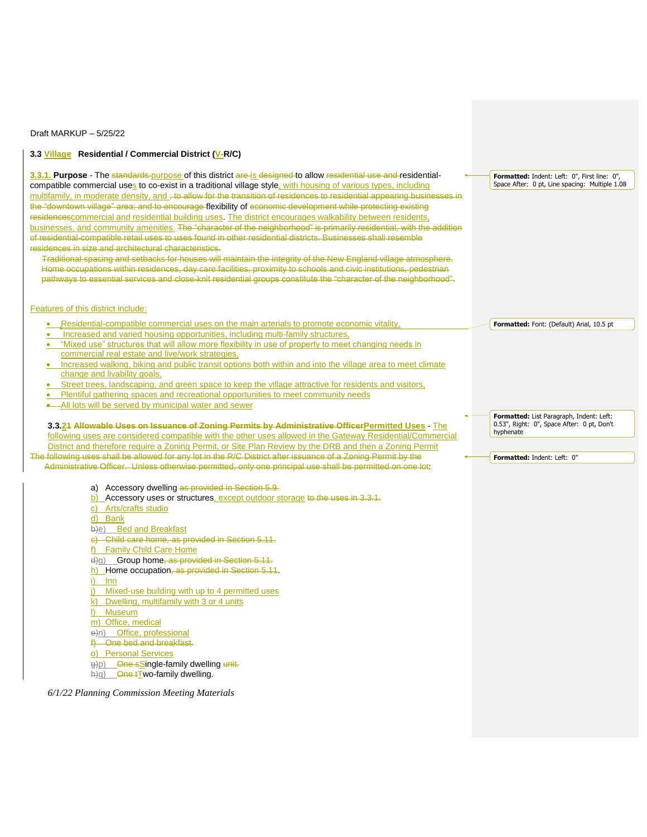Draft MARKUP – 5/25/22

## **3.3 Village Residential / Commercial District (V-R/C)**

**3.3.1. Purpose** - The standards purpose of this district are is designed to allow residential use and residentialcompatible commercial uses to co-exist in a traditional village style, with housing of various types, including multifamily, in moderate density, and ; to allow for the transition of residences to residential appearing businesses in the "downtown village" area; and to encourage flexibility of economic development while protecting existing residencescommercial and residential building uses. The district encourages walkability between residents, businesses, and community amenities. The "character of the neighborhood" is primarily residential, with the addition of residential-compatible retail uses to uses found in other residential districts. Businesses shall resemble residences in size and architectural characteristics.

Traditional spacing and setbacks for houses will maintain the integrity of the New England village atmosphere. Home occupations within residences, day care facilities, proximity to schools and civic institutions, pedestrian pathways to essential services and close-knit residential groups constitute the "character of the neighborhood".

## Features of this district include:

- Residential-compatible commercial uses on the main arterials to promote economic vitality,
- Increased and varied housing opportunities, including multi-family structures,
- "Mixed use" structures that will allow more flexibility in use of property to meet changing needs in commercial real estate and live/work strategies,
- Increased walking, biking and public transit options both within and into the village area to meet climate change and livability goals,
- Street trees, landscaping, and green space to keep the village attractive for residents and visitors,
- Plentiful gathering spaces and recreational opportunities to meet community needs
- All lots will be served by municipal water and sewer

**3.3.21 Allowable Uses on Issuance of Zoning Permits by Administrative OfficerPermitted Uses** - The following uses are considered compatible with the other uses allowed in the Gateway Residential/Commercial District and therefore require a Zoning Permit, or Site Plan Review by the DRB and then a Zoning Permit The following uses shall be allowed for any lot in the R/C District after issuance of a Zoning Permit by the Administrative Officer. Unless otherwise permitted, only one principal use shall be permitted on one lot:

a) Accessory dwelling as provided in Section 5.9.

- b) Accessory uses or structures, except outdoor storage to the uses in 3.3.1.
- c) Arts/crafts studio

d) Bank

b)e) Bed and Breakfast

c) Child care home, as provided in Section 5.11.

f) Family Child Care Home

d)g) Group home, as provided in Section 5.11.

- h) Home occupation, as provided in Section 5.11.
- i) Inn
- j) Mixed-use building with up to 4 permitted uses
- k) Dwelling, multifamily with 3 or 4 units
- l) Museum
- m) Office, medical
- e)n) Office, professional
- f) One bed and breakfast.
- o) Personal Services

g)p) One sSingle-family dwelling unit.

h)q) One tTwo-family dwelling.

*6/1/22 Planning Commission Meeting Materials*

**Formatted:** Indent: Left: 0", First line: 0", Space After: 0 pt, Line spacing: Multiple 1.08

**Formatted:** Font: (Default) Arial, 10.5 pt

**Formatted:** List Paragraph, Indent: Left: 0.53", Right: 0", Space After: 0 pt, Don't hyphenate

**Formatted:** Indent: Left: 0"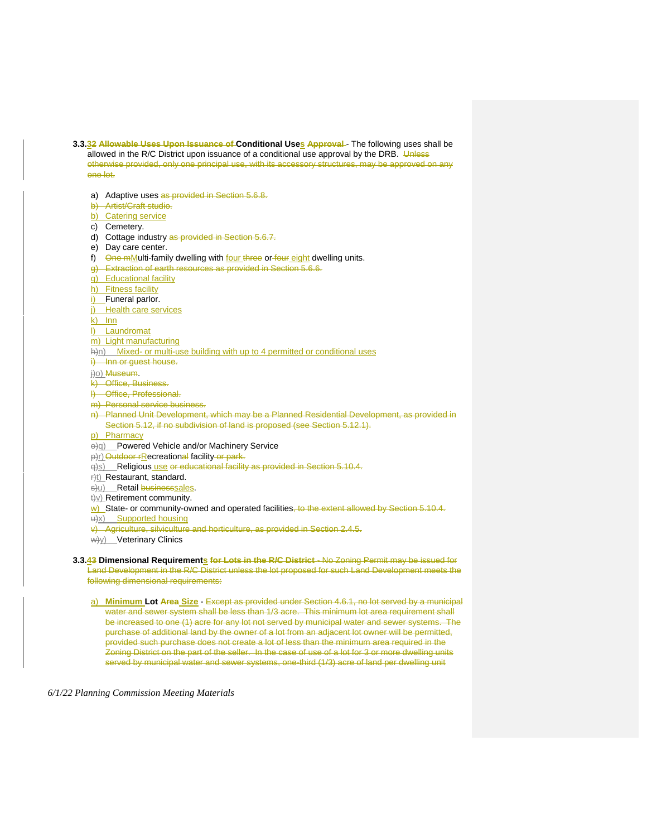- **3.3.32 Allowable Uses Upon Issuance of Conditional Uses Approval** The following uses shall be allowed in the R/C District upon issuance of a conditional use approval by the DRB. Unless otherwise provided, only one principal use, with its accessory structures, may be approved on any one lot.
- a) Adaptive uses as provided in Section 5.6.8. b) Artist/Craft studio. b) Catering service c) Cemetery. d) Cottage industry as provided in Section 5.6.7. e) Day care center. f) One mMulti-family dwelling with four three or four eight dwelling units. g) Extraction of earth resources as provided in Section 5.6.6. g) Educational facility h) Fitness facility i) Funeral parlor. j) Health care services k) Inn l) Laundromat m) Light manufacturing h)n) Mixed- or multi-use building with up to 4 permitted or conditional uses i) Inn or guest house. j)o) Museum. k) Office, Business. l) Office, Professional. m) Personal service business. n) Planned Unit Development, which may be a Planned Residential Development, as provided in Section 5.12, if no subdivision of land is proposed (see Section 5.12.1). p) Pharmacy o)q) Powered Vehicle and/or Machinery Service p)r) Outdoor rRecreational facility or park. q)s) Religious use or educational facility as provided in Section 5.10.4. r)t) Restaurant, standard. s)u) Retail businesssales. t)v) Retirement community. w) State- or community-owned and operated facilities, to the extent allowed by Section 5.10.4. u)x) Supported housing v) Agriculture, silviculture and horticulture, as provided in Section 2.4.5. w/y) Veterinary Clinics **3.3.43 Dimensional Requirements for Lots in the R/C District** - No Zoning Permit may be issued for Land Development in the R/C District unless the lot proposed for such Land Development meets the following dimensional requirements:
	- a) **Minimum Lot Area Size** Except as provided under Section 4.6.1, no lot served by a municipal water and sewer system shall be less than 1/3 acre. This minimum lot area requirement shall be increased to one (1) acre for any lot not served by municipal water and sewer systems. The purchase of additional land by the owner of a lot from an adjacent lot owner will be permitted, provided such purchase does not create a lot of less than the minimum area required in the Zoning District on the part of the seller. In the case of use of a lot for 3 or more dwelling units served by municipal water and sewer systems, one-third (1/3) acre of land per dwelling unit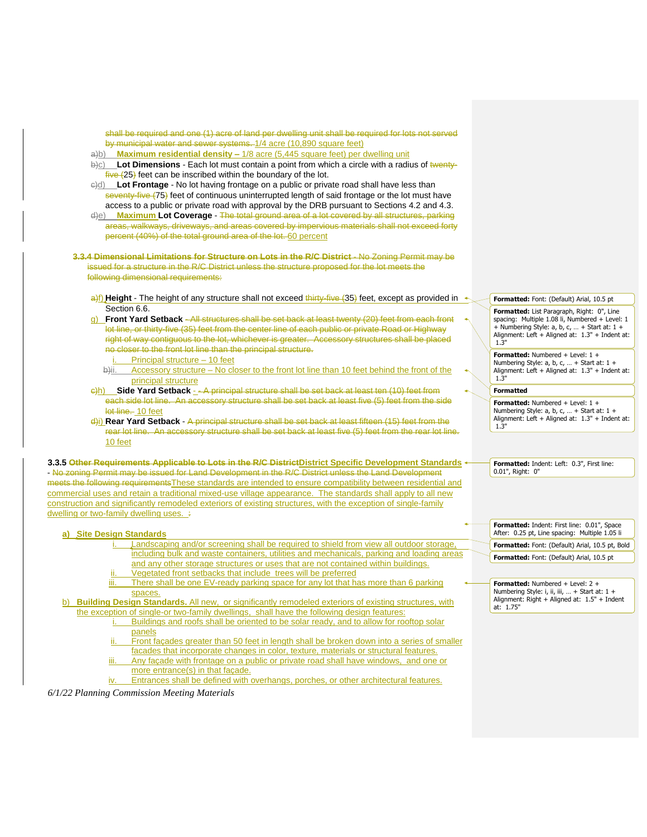| shall be required and one (1) acre of land per dwelling unit shall be required for lots not served                                                                                    |  |                                                                                                                                                     |
|---------------------------------------------------------------------------------------------------------------------------------------------------------------------------------------|--|-----------------------------------------------------------------------------------------------------------------------------------------------------|
| by municipal water and sewer systems. 1/4 acre (10,890 square feet)                                                                                                                   |  |                                                                                                                                                     |
| a)b) Maximum residential density - 1/8 acre (5,445 square feet) per dwelling unit                                                                                                     |  |                                                                                                                                                     |
| $\bigcirc$ Lot Dimensions - Each lot must contain a point from which a circle with a radius of twenty-                                                                                |  |                                                                                                                                                     |
| $f$ ive $(25)$ feet can be inscribed within the boundary of the lot.                                                                                                                  |  |                                                                                                                                                     |
| e)d) Lot Frontage - No lot having frontage on a public or private road shall have less than                                                                                           |  |                                                                                                                                                     |
| seventy-five (75) feet of continuous uninterrupted length of said frontage or the lot must have                                                                                       |  |                                                                                                                                                     |
| access to a public or private road with approval by the DRB pursuant to Sections 4.2 and 4.3.                                                                                         |  |                                                                                                                                                     |
| Maximum Lot Coverage - The total ground area of a lot covered by all structures, parking<br>d)e)                                                                                      |  |                                                                                                                                                     |
| areas, walkways, driveways, and areas covered by impervious materials shall not exceed forty<br>percent (40%) of the total ground area of the lot. 60 percent                         |  |                                                                                                                                                     |
|                                                                                                                                                                                       |  |                                                                                                                                                     |
| 3.3.4 Dimensional Limitations for Structure on Lots in the R/C District - No Zoning Permit may be                                                                                     |  |                                                                                                                                                     |
| issued for a structure in the R/C District unless the structure proposed for the lot meets the                                                                                        |  |                                                                                                                                                     |
| following dimensional requirements:                                                                                                                                                   |  |                                                                                                                                                     |
|                                                                                                                                                                                       |  |                                                                                                                                                     |
| a)f) Height - The height of any structure shall not exceed thirty-five (35) feet, except as provided in $\rightarrow$                                                                 |  |                                                                                                                                                     |
| Section 6.6.                                                                                                                                                                          |  | Formatted: Font: (Default) Arial, 10.5 pt                                                                                                           |
| <b>Front Yard Setback</b> -All structures shall be set back at least twenty (20) feet from each front                                                                                 |  | Formatted: List Paragraph, Right: 0", Line                                                                                                          |
| a)<br>lot line, or thirty-five (35) feet from the center line of each public or private Road or Highway                                                                               |  | spacing: Multiple 1.08 li, Numbered + Level: 1<br>+ Numbering Style: a, b, c,  + Start at: $1 +$<br>Alignment: Left + Aligned at: 1.3" + Indent at: |
| right of way contiguous to the lot, whichever is greater. Accessory structures shall be placed                                                                                        |  |                                                                                                                                                     |
| no closer to the front lot line than the principal structure.                                                                                                                         |  | 1.3"                                                                                                                                                |
| Principal structure - 10 feet                                                                                                                                                         |  | Formatted: Numbered + Level: 1 +                                                                                                                    |
| Accessory structure – No closer to the front lot line than 10 feet behind the front of the<br>b)ii.                                                                                   |  | Numbering Style: a, b, c,  + Start at: $1 +$<br>Alignment: Left + Aligned at: 1.3" + Indent at:                                                     |
| principal structure                                                                                                                                                                   |  | 1.3"                                                                                                                                                |
| $\frac{1}{2}$ h) Side Yard Setback - - A principal structure shall be set back at least ten (10) feet from                                                                            |  | <b>Formatted</b>                                                                                                                                    |
| each side lot line. An accessory structure shall be set back at least five (5) feet from the side                                                                                     |  |                                                                                                                                                     |
| lot line. 10 feet                                                                                                                                                                     |  | <b>Formatted:</b> Numbered + Level: $1 +$<br>Numbering Style: a, b, c,  + Start at: $1 +$                                                           |
| $\frac{d}{i}$ ) Rear Yard Setback - A principal structure shall be set back at least fifteen (15) feet from the                                                                       |  | Alignment: Left + Aligned at: 1.3" + Indent at:                                                                                                     |
| rear lot line. An accessory structure shall be set back at least five (5) feet from the rear lot line.                                                                                |  | 1.3"                                                                                                                                                |
| 10 feet                                                                                                                                                                               |  |                                                                                                                                                     |
|                                                                                                                                                                                       |  |                                                                                                                                                     |
| * 3.3.5 Other Requirements Applicable to Lots in the R/C DistrictDistrict Specific Development Standards                                                                              |  | Formatted: Indent: Left: 0.3", First line:                                                                                                          |
| - No zoning Permit may be issued for Land Development in the R/C District unless the Land Development                                                                                 |  | 0.01", Right: 0"                                                                                                                                    |
| meets the following requirements These standards are intended to ensure compatibility between residential and                                                                         |  |                                                                                                                                                     |
| commercial uses and retain a traditional mixed-use village appearance. The standards shall apply to all new                                                                           |  |                                                                                                                                                     |
| construction and significantly remodeled exteriors of existing structures, with the exception of single-family                                                                        |  |                                                                                                                                                     |
| dwelling or two-family dwelling uses. ÷                                                                                                                                               |  |                                                                                                                                                     |
|                                                                                                                                                                                       |  | Formatted: Indent: First line: 0.01", Space                                                                                                         |
| a) Site Design Standards                                                                                                                                                              |  | After: 0.25 pt, Line spacing: Multiple 1.05 li                                                                                                      |
| Landscaping and/or screening shall be required to shield from view all outdoor storage,                                                                                               |  | Formatted: Font: (Default) Arial, 10.5 pt, Bold                                                                                                     |
| including bulk and waste containers, utilities and mechanicals, parking and loading areas                                                                                             |  | Formatted: Font: (Default) Arial, 10.5 pt                                                                                                           |
| and any other storage structures or uses that are not contained within buildings.                                                                                                     |  |                                                                                                                                                     |
| Vegetated front setbacks that include trees will be preferred                                                                                                                         |  |                                                                                                                                                     |
| iii. There shall be one EV-ready parking space for any lot that has more than 6 parking $\leftarrow$                                                                                  |  | <b>Formatted:</b> Numbered + Level: 2 +<br>Numbering Style: i, ii, iii,  + Start at: 1 +<br>Alignment: Right + Aligned at: 1.5" + Indent            |
| spaces.                                                                                                                                                                               |  |                                                                                                                                                     |
| b) Building Design Standards. All new, or significantly remodeled exteriors of existing structures, with                                                                              |  | at: 1.75"                                                                                                                                           |
| the exception of single-or two-family dwellings, shall have the following design features:<br>Buildings and roofs shall be oriented to be solar ready, and to allow for rooftop solar |  |                                                                                                                                                     |
|                                                                                                                                                                                       |  |                                                                                                                                                     |
| panels<br>Front facades greater than 50 feet in length shall be broken down into a series of smaller<br>ii.                                                                           |  |                                                                                                                                                     |
| facades that incorporate changes in color, texture, materials or structural features.                                                                                                 |  |                                                                                                                                                     |
| Any facade with frontage on a public or private road shall have windows, and one or<br>iii.                                                                                           |  |                                                                                                                                                     |
| more entrance(s) in that façade.                                                                                                                                                      |  |                                                                                                                                                     |
| Entrances shall be defined with overhangs, porches, or other architectural features.<br>İV.                                                                                           |  |                                                                                                                                                     |
|                                                                                                                                                                                       |  |                                                                                                                                                     |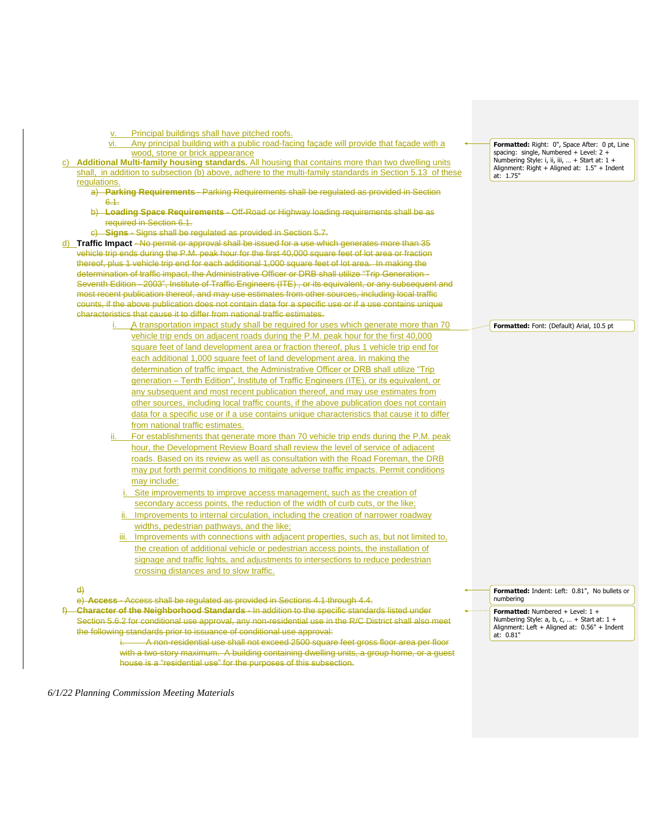- Principal buildings shall have pitched roofs.
- vi. Any principal building with a public road-facing façade will provide that façade with a wood, stone or brick appearance
- c) **Additional Multi-family housing standards.** All housing that contains more than two dwelling units shall, in addition to subsection (b) above, adhere to the multi-family standards in Section 5.13 of these regulations.
	- a) **Parking Requirements** Parking Requirements shall be regulated as provided in Section 6.1.
	- b) **Loading Space Requirements** Off-Road or Highway loading requirements shall be as required in Section 6.1.
	- c) **Signs** Signs shall be regulated as provided in Section 5.7.

d) **Traffic Impact** - No permit or approval shall be issued for a use which generates more than 35 vehicle trip ends during the P.M. peak hour for the first 40,000 square feet of lot area or fraction thereof, plus 1 vehicle trip end for each additional 1,000 square feet of lot area. In making the determination of traffic impact, the Administrative Officer or DRB shall utilize "Trip Generation - Seventh Edition - 2003", Institute of Traffic Engineers (ITE), or its equivalent, or any subsequent and most recent publication thereof, and may use estimates from other sources, including local traffic counts, if the above publication does not contain data for a specific use or if a use contains unique characteristics that cause it to differ from national traffic estimates.

- A transportation impact study shall be required for uses which generate more than 70 vehicle trip ends on adjacent roads during the P.M. peak hour for the first 40,000 square feet of land development area or fraction thereof, plus 1 vehicle trip end for each additional 1,000 square feet of land development area. In making the determination of traffic impact, the Administrative Officer or DRB shall utilize "Trip generation – Tenth Edition", Institute of Traffic Engineers (ITE), or its equivalent, or any subsequent and most recent publication thereof, and may use estimates from other sources, including local traffic counts, if the above publication does not contain data for a specific use or if a use contains unique characteristics that cause it to differ from national traffic estimates.
- For establishments that generate more than 70 vehicle trip ends during the P.M. peak hour, the Development Review Board shall review the level of service of adjacent roads. Based on its review as well as consultation with the Road Foreman, the DRB may put forth permit conditions to mitigate adverse traffic impacts. Permit conditions may include:
	- Site improvements to improve access management, such as the creation of secondary access points, the reduction of the width of curb cuts, or the like; Improvements to internal circulation, including the creation of narrower roadway
	- widths, pedestrian pathways, and the like;
	- iii. Improvements with connections with adjacent properties, such as, but not limited to, the creation of additional vehicle or pedestrian access points, the installation of signage and traffic lights, and adjustments to intersections to reduce pedestrian crossing distances and to slow traffic.

d)

e) **Access** - Access shall be regulated as provided in Sections 4.1 through 4.4.

f) **Character of the Neighborhood Standards** - In addition to the specific standards listed under Section 5.6.2 for conditional use approval, any non-residential use in the R/C District shall also meet the following standards prior to issuance of conditional use approval:

i. A non-residential use shall not exceed 2500 square feet gross floor area per floor with a two-story maximum. A building containing dwelling units, a group home, or a quest house is a "residential use" for the purposes of this subsection.

**Formatted:** Right: 0", Space After: 0 pt, Line spacing: single, Numbered + Level: 2 + Numbering Style: i, ii, iii, … + Start at: 1 + Alignment: Right + Aligned at: 1.5" + Indent at: 1.75"

**Formatted:** Font: (Default) Arial, 10.5 pt

**Formatted:** Indent: Left: 0.81", No bullets or numbering

**Formatted:** Numbered + Level: 1 + Numbering Style: a, b, c, … + Start at: 1 + Alignment: Left + Aligned at: 0.56" + Indent at: 0.81"